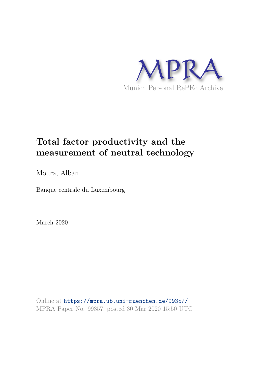

# **Total factor productivity and the measurement of neutral technology**

Moura, Alban

Banque centrale du Luxembourg

March 2020

Online at https://mpra.ub.uni-muenchen.de/99357/ MPRA Paper No. 99357, posted 30 Mar 2020 15:50 UTC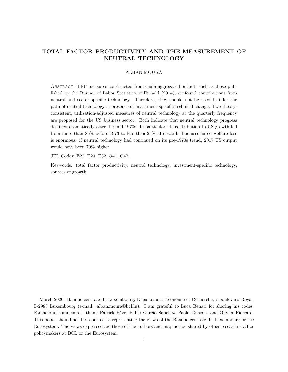## TOTAL FACTOR PRODUCTIVITY AND THE MEASUREMENT OF NEUTRAL TECHNOLOGY

## ALBAN MOURA

Abstract. TFP measures constructed from chain-aggregated output, such as those published by the Bureau of Labor Statistics or Fernald (2014), confound contributions from neutral and sector-specific technology. Therefore, they should not be used to infer the path of neutral technology in presence of investment-specific technical change. Two theoryconsistent, utilization-adjusted measures of neutral technology at the quarterly frequency are proposed for the US business sector. Both indicate that neutral technology progress declined dramatically after the mid-1970s. In particular, its contribution to US growth fell from more than 85% before 1973 to less than 25% afterward. The associated welfare loss is enormous: if neutral technology had continued on its pre-1970s trend, 2017 US output would have been 70% higher.

JEL Codes: E22, E23, E32, O41, O47.

Keywords: total factor productivity, neutral technology, investment-specific technology, sources of growth.

March 2020. Banque centrale du Luxembourg, Département Économie et Recherche, 2 boulevard Royal, L-2983 Luxembourg (e-mail: alban.moura@bcl.lu). I am grateful to Luca Benati for sharing his codes. For helpful comments, I thank Patrick Fève, Pablo Garcia Sanchez, Paolo Guarda, and Olivier Pierrard. This paper should not be reported as representing the views of the Banque centrale du Luxembourg or the Eurosystem. The views expressed are those of the authors and may not be shared by other research staff or policymakers at BCL or the Eurosystem.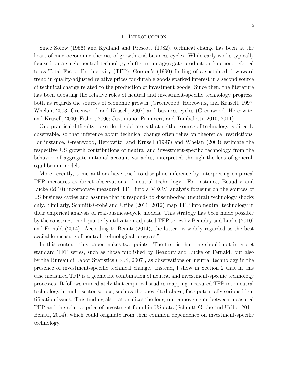#### 1. INTRODUCTION

Since Solow (1956) and Kydland and Prescott (1982), technical change has been at the heart of macroeconomic theories of growth and business cycles. While early works typically focused on a single neutral technology shifter in an aggregate production function, referred to as Total Factor Productivity (TFP), Gordon's (1990) finding of a sustained downward trend in quality-adjusted relative prices for durable goods sparked interest in a second source of technical change related to the production of investment goods. Since then, the literature has been debating the relative roles of neutral and investment-specific technology progress, both as regards the sources of economic growth (Greenwood, Hercowitz, and Krusell, 1997; Whelan, 2003; Greenwood and Krusell, 2007) and business cycles (Greenwood, Hercowitz, and Krusell, 2000; Fisher, 2006; Justiniano, Primiceri, and Tambalotti, 2010, 2011).

One practical difficulty to settle the debate is that neither source of technology is directly observable, so that inference about technical change often relies on theoretical restrictions. For instance, Greenwood, Hercowitz, and Krusell (1997) and Whelan (2003) estimate the respective US growth contributions of neutral and investment-specific technology from the behavior of aggregate national account variables, interpreted through the lens of generalequilibrium models.

More recently, some authors have tried to discipline inference by interpreting empirical TFP measures as direct observations of neutral technology. For instance, Beaudry and Lucke (2010) incorporate measured TFP into a VECM analysis focusing on the sources of US business cycles and assume that it responds to disembodied (neutral) technology shocks only. Similarly, Schmitt-Groh´e and Uribe (2011, 2012) map TFP into neutral technology in their empirical analysis of real-business-cycle models. This strategy has been made possible by the construction of quarterly utilization-adjusted TFP series by Beaudry and Lucke (2010) and Fernald (2014). According to Benati (2014), the latter "is widely regarded as the best available measure of neutral technological progress."

In this context, this paper makes two points. The first is that one should not interpret standard TFP series, such as those published by Beaudry and Lucke or Fernald, but also by the Bureau of Labor Statistics (BLS, 2007), as observations on neutral technology in the presence of investment-specific technical change. Instead, I show in Section 2 that in this case measured TFP is a geometric combination of neutral and investment-specific technology processes. It follows immediately that empirical studies mapping measured TFP into neutral technology in multi-sector setups, such as the ones cited above, face potentially serious identification issues. This finding also rationalizes the long-run comovements between measured TFP and the relative price of investment found in US data (Schmitt-Grohé and Uribe, 2011; Benati, 2014), which could originate from their common dependence on investment-specific technology.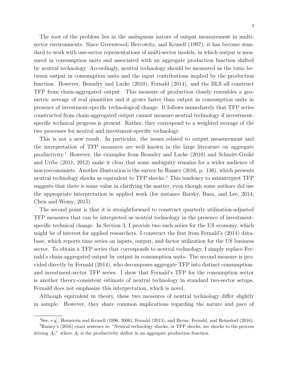The root of the problem lies in the ambiguous nature of output measurement in multisector environments. Since Greenwood, Hercowitz, and Krusell (1997), it has become standard to work with one-sector representations of multi-sector models, in which output is measured in consumption units and associated with an aggregate production function shifted by neutral technology. Accordingly, neutral technology should be measured as the ratio between output in consumption units and the input contributions implied by the production function. However, Beaudry and Lucke (2010), Fernald (2014), and the BLS all construct TFP from chain-aggregated output. This measure of production closely resembles a geometric average of real quantities and it grows faster than output in consumption units in presence of investment-specific technological change. It follows immediately that TFP series constructed from chain-aggregated output cannot measure neutral technology if investmentspecific technical progress is present. Rather, they correspond to a weighted average of the two processes for neutral and investment-specific technology.

This is not a new result. In particular, the issues related to output measurement and the interpretation of TFP measures are well known in the large literature on aggregate productivity.<sup>1</sup> However, the examples from Beaudry and Lucke  $(2010)$  and Schmitt-Grohé and Uribe (2011, 2012) make it clear that some ambiguity remains for a wider audience of macroeconomists. Another illustration is the survey by Ramey (2016, p. 136), which presents neutral technology shocks as equivalent to TFP shocks.<sup>2</sup> This tendency to misinterpret TFP suggests that there is some value in clarifying the matter, even though some authors did use the appropriate interpretation in applied work (for instance Barsky, Basu, and Lee, 2014; Chen and Wemy, 2015).

The second point is that it is straightforward to construct quarterly utilization-adjusted TFP measures that can be interpreted as neutral technology in the presence of investmentspecific technical change. In Section 3, I provide two such series for the US economy, which might be of interest for applied researchers. I construct the first from Fernald's (2014) database, which reports time series on inputs, output, and factor utilization for the US business sector. To obtain a TFP series that corresponds to neutral technology, I simply replace Fernald's chain-aggregated output by output in consumption units. The second measure is provided directly by Fernald (2014), who decomposes aggregate TFP into distinct consumptionand investment-sector TFP series. I show that Fernald's TFP for the consumption sector is another theory-consistent estimate of neutral technology in standard two-sector setups. Fernald does not emphasize this interpretation, which is novel.

Although equivalent in theory, these two measures of neutral technology differ slightly in sample. However, they share common implications regarding the nature and pace of

<sup>1</sup>See, e.g., Hornstein and Krusell (1996, 2000), Fernald (2015), and Byrne, Fernald, and Reinsdorf (2016).

<sup>2</sup>Ramey's (2016) exact sentence is: "Neutral technology shocks, or TFP shocks, are shocks to the process driving  $A_t$ ," where  $A_t$  is the productivity shifter in an aggregate production function.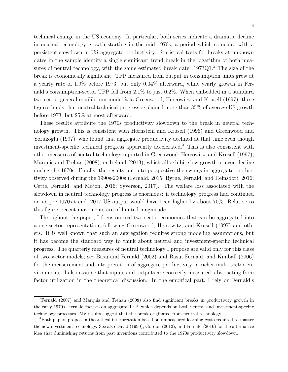technical change in the US economy. In particular, both series indicate a dramatic decline in neutral technology growth starting in the mid 1970s, a period which coincides with a persistent slowdown in US aggregate productivity. Statistical tests for breaks at unknown dates in the sample identify a single significant trend break in the logarithm of both measures of neutral technology, with the same estimated break date:  $1973Q1$ <sup>3</sup>. The size of the break is economically significant: TFP measured from output in consumption units grew at a yearly rate of 1.9% before 1973, but only 0.04% afterward, while yearly growth in Fernald's consumption-sector TFP fell from 2.1% to just 0.2%. When embedded in a standard two-sector general-equilibrium model à la Greenwood, Hercowitz, and Krusell (1997), these figures imply that neutral technical progress explained more than 85% of average US growth before 1973, but 25% at most afterward.

These results attribute the 1970s productivity slowdown to the break in neutral technology growth. This is consistent with Hornstein and Krusell (1996) and Greenwood and Yorukoglu (1997), who found that aggregate productivity declined at that time even though investment-specific technical progress apparently accelerated.<sup>4</sup> This is also consistent with other measures of neutral technology reported in Greenwood, Hercowitz, and Krusell (1997), Marquis and Trehan (2008), or Ireland (2013), which all exhibit slow growth or even decline during the 1970s. Finally, the results put into perspective the swings in aggregate productivity observed during the 1990s-2000s (Fernald, 2015; Byrne, Fernald, and Reinsdorf, 2016; Cette, Fernald, and Mojon, 2016; Syverson, 2017). The welfare loss associated with the slowdown in neutral technology progress is enormous: if technology progress had continued on its pre-1970s trend, 2017 US output would have been higher by about 70%. Relative to this figure, recent movements are of limited magnitude.

Throughout the paper, I focus on real two-sector economies that can be aggregated into a one-sector representation, following Greenwood, Hercowitz, and Krusell (1997) and others. It is well known that such an aggregation requires strong modeling assumptions, but it has become the standard way to think about neutral and investment-specific technical progress. The quarterly measures of neutral technology I propose are valid only for this class of two-sector models; see Basu and Fernald (2002) and Basu, Fernald, and Kimball (2006) for the measurement and interpretation of aggregate productivity in richer multi-sector environments. I also assume that inputs and outputs are correctly measured, abstracting from factor utilization in the theoretical discussion. In the empirical part, I rely on Fernald's

<sup>&</sup>lt;sup>3</sup>Fernald (2007) and Marquis and Trehan (2008) also find significant breaks in productivity growth in the early 1970s. Fernald focuses on aggregate TFP, which depends on both neutral and investment-specific technology processes. My results suggest that the break originated from neutral technology.

<sup>4</sup>Both papers propose a theoretical interpretation based on unmeasured learning costs required to master the new investment technology. See also David (1990), Gordon (2012), and Fernald (2016) for the alternative idea that diminishing returns from past inventions contributed to the 1970s productivity slowdown.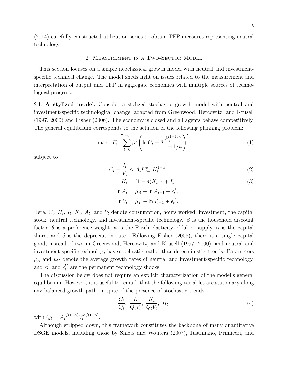(2014) carefully constructed utilization series to obtain TFP measures representing neutral technology.

### 2. Measurement in a Two-Sector Model

This section focuses on a simple neoclassical growth model with neutral and investmentspecific technical change. The model sheds light on issues related to the measurement and interpretation of output and TFP in aggregate economies with multiple sources of technological progress.

2.1. A stylized model. Consider a stylized stochastic growth model with neutral and investment-specific technological change, adapted from Greenwood, Hercowitz, and Krusell (1997, 2000) and Fisher (2006). The economy is closed and all agents behave competitively. The general equilibrium corresponds to the solution of the following planning problem:

$$
\max \quad E_0 \left[ \sum_{t=0}^{\infty} \beta^t \left( \ln C_t - \theta \frac{H_t^{1+1/\kappa}}{1+1/\kappa} \right) \right] \tag{1}
$$

subject to

$$
C_t + \frac{I_t}{V_t} \le A_t K_{t-1}^{\alpha} H_t^{1-\alpha},\tag{2}
$$

$$
K_t = (1 - \delta)K_{t-1} + I_t,
$$
  
\n
$$
\ln A_t = \mu_A + \ln A_{t-1} + \epsilon_t^A,
$$
\n(3)

$$
\ln V_t = \mu_V + \ln V_{t-1} + \epsilon_t^V.
$$

Here,  $C_t$ ,  $H_t$ ,  $I_t$ ,  $K_t$ ,  $A_t$ , and  $V_t$  denote consumption, hours worked, investment, the capital stock, neutral technology, and investment-specific technology.  $\beta$  is the household discount factor,  $\theta$  is a preference weight,  $\kappa$  is the Frisch elasticity of labor supply,  $\alpha$  is the capital share, and  $\delta$  is the depreciation rate. Following Fisher (2006), there is a single capital good, instead of two in Greenwood, Hercowitz, and Krusell (1997, 2000), and neutral and investment-specific technology have stochastic, rather than deterministic, trends. Parameters  $\mu_A$  and  $\mu_V$  denote the average growth rates of neutral and investment-specific technology, and  $\epsilon_t^A$  and  $\epsilon_t^V$  are the permanent technology shocks.

The discussion below does not require an explicit characterization of the model's general equilibrium. However, it is useful to remark that the following variables are stationary along any balanced growth path, in spite of the presence of stochastic trends:

$$
\frac{C_t}{Q_t}, \frac{I_t}{Q_t V_t}, \frac{K_t}{Q_t V_t}, H_t,
$$
\n
$$
(4)
$$

with  $Q_t = A_t^{1/(1-\alpha)} V_t^{\alpha/(1-\alpha)}$  $\int_t^{\alpha/(1-\alpha)}$ .

Although stripped down, this framework constitutes the backbone of many quantitative DSGE models, including those by Smets and Wouters (2007), Justiniano, Primiceri, and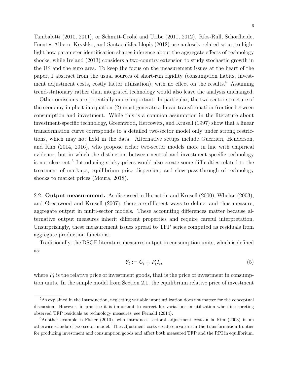Tambalotti (2010, 2011), or Schmitt-Grohé and Uribe (2011, 2012). Ríos-Rull, Schorfheide, Fuentes-Albero, Kryshko, and Santaeulàlia-Llopis (2012) use a closely related setup to highlight how parameter identification shapes inference about the aggregate effects of technology shocks, while Ireland (2013) considers a two-country extension to study stochastic growth in the US and the euro area. To keep the focus on the measurement issues at the heart of the paper, I abstract from the usual sources of short-run rigidity (consumption habits, investment adjustment costs, costly factor utilization), with no effect on the results.<sup>5</sup> Assuming trend-stationary rather than integrated technology would also leave the analysis unchanged.

Other omissions are potentially more important. In particular, the two-sector structure of the economy implicit in equation (2) must generate a linear transformation frontier between consumption and investment. While this is a common assumption in the literature about investment-specific technology, Greenwood, Hercowitz, and Krusell (1997) show that a linear transformation curve corresponds to a detailed two-sector model only under strong restrictions, which may not hold in the data. Alternative setups include Guerrieri, Henderson, and Kim (2014, 2016), who propose richer two-sector models more in line with empirical evidence, but in which the distinction between neutral and investment-specific technology is not clear cut.<sup>6</sup> Introducing sticky prices would also create some difficulties related to the treatment of markups, equilibrium price dispersion, and slow pass-through of technology shocks to market prices (Moura, 2018).

2.2. Output measurement. As discussed in Hornstein and Krusell (2000), Whelan (2003), and Greenwood and Krusell (2007), there are different ways to define, and thus measure, aggregate output in multi-sector models. These accounting differences matter because alternative output measures inherit different properties and require careful interpretation. Unsurprisingly, these measurement issues spread to TFP series computed as residuals from aggregate production functions.

Traditionally, the DSGE literature measures output in consumption units, which is defined as:

$$
Y_t := C_t + P_t I_t,\tag{5}
$$

where  $P_t$  is the relative price of investment goods, that is the price of investment in consumption units. In the simple model from Section 2.1, the equilibrium relative price of investment

<sup>&</sup>lt;sup>5</sup>As explained in the Introduction, neglecting variable input utilization does not matter for the conceptual discussion. However, in practice it is important to correct for variations in utilization when interpreting observed TFP residuals as technology measures, see Fernald (2014).

 $6A$ nother example is Fisher (2010), who introduces sectoral adjustment costs à la Kim (2003) in an otherwise standard two-sector model. The adjustment costs create curvature in the transformation frontier for producing investment and consumption goods and affect both measured TFP and the RPI in equilibrium.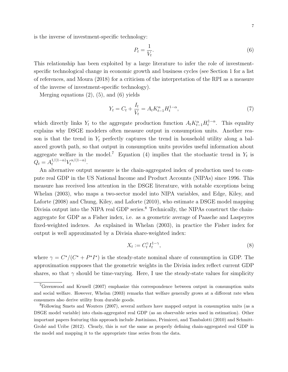is the inverse of investment-specific technology:

$$
P_t = \frac{1}{V_t}.\tag{6}
$$

This relationship has been exploited by a large literature to infer the role of investmentspecific technological change in economic growth and business cycles (see Section 1 for a list of references, and Moura (2018) for a criticism of the interpretation of the RPI as a measure of the inverse of investment-specific technology).

Merging equations  $(2)$ ,  $(5)$ , and  $(6)$  yields

$$
Y_t = C_t + \frac{I_t}{V_t} = A_t K_{t-1}^{\alpha} H_t^{1-\alpha},\tag{7}
$$

which directly links  $Y_t$  to the aggregate production function  $A_t K_{t-1}^{\alpha} H_t^{1-\alpha}$ . This equality explains why DSGE modelers often measure output in consumption units. Another reason is that the trend in  $Y_t$  perfectly captures the trend in household utility along a balanced growth path, so that output in consumption units provides useful information about aggregate welfare in the model.<sup>7</sup> Equation (4) implies that the stochastic trend in  $Y_t$  is  $Q_t = A_t^{1/(1-\alpha)} V_t^{\alpha/(1-\alpha)}$  $\int_t^{\alpha/(1-\alpha)}$ .

An alternative output measure is the chain-aggregated index of production used to compute real GDP in the US National Income and Product Accounts (NIPAs) since 1996. This measure has received less attention in the DSGE literature, with notable exceptions being Whelan (2003), who maps a two-sector model into NIPA variables, and Edge, Kiley, and Laforte (2008) and Chung, Kiley, and Laforte (2010), who estimate a DSGE model mapping Divisia output into the NIPA real GDP series.<sup>8</sup> Technically, the NIPAs construct the chainaggregate for GDP as a Fisher index, i.e. as a geometric average of Paasche and Laspeyres fixed-weighted indexes. As explained in Whelan (2003), in practice the Fisher index for output is well approximated by a Divisia share-weighted index:

$$
X_t := C_t^{\gamma} I_t^{1-\gamma},\tag{8}
$$

where  $\gamma = C^{\star}/(C^{\star} + P^{\star} I^{\star})$  is the steady-state nominal share of consumption in GDP. The approximation supposes that the geometric weights in the Divisia index reflect current GDP shares, so that  $\gamma$  should be time-varying. Here, I use the steady-state values for simplicity

<sup>7</sup>Greenwood and Krusell (2007) emphasize this correspondence between output in consumption units and social welfare. However, Whelan (2003) remarks that welfare generally grows at a different rate when consumers also derive utility from durable goods.

<sup>8</sup>Following Smets and Wouters (2007), several authors have mapped output in consumption units (as a DSGE model variable) into chain-aggregated real GDP (as an observable series used in estimation). Other important papers featuring this approach include Justiniano, Primiceri, and Tambalotti (2010) and Schmitt-Grohé and Uribe (2012). Clearly, this is not the same as properly defining chain-aggregated real GDP in the model and mapping it to the appropriate time series from the data.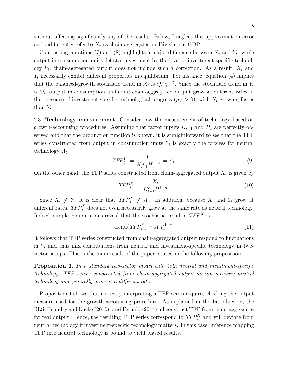without affecting significantly any of the results. Below, I neglect this approximation error and indifferently refer to  $X_t$  as chain-aggregated or Divisia real GDP.

Contrasting equations (7) and (8) highlights a major difference between  $X_t$  and  $Y_t$ : while output in consumption units deflates investment by the level of investment-specific technology  $V_t$ , chain-aggregated output does not include such a correction. As a result,  $X_t$  and  $Y_t$  necessarily exhibit different properties in equilibrium. For instance, equation (4) implies that the balanced-growth stochastic trend in  $X_t$  is  $Q_t V_t^{1-\gamma}$  $t_t^{1-\gamma}$ . Since the stochastic trend in  $Y_t$ is  $Q_t$ , output in consumption units and chain-aggregated output grow at different rates in the presence of investment-specific technological progress  $(\mu_V > 0)$ , with  $X_t$  growing faster than  $Y_t$ .

2.3. Technology measurement. Consider now the measurement of technology based on growth-accounting procedures. Assuming that factor inputs  $K_{t-1}$  and  $H_t$  are perfectly observed and that the production function is known, it is straightforward to see that the TFP series constructed from output in consumption units  $Y_t$  is exactly the process for neutral technology  $A_t$ :

$$
TFP_t^Y := \frac{Y_t}{K_{t-1}^{\alpha} H_t^{1-\alpha}} = A_t.
$$
\n
$$
(9)
$$

On the other hand, the TFP series constructed from chain-aggregated output  $X_t$  is given by

$$
TFP_t^X := \frac{X_t}{K_{t-1}^{\alpha} H_t^{1-\alpha}}.\tag{10}
$$

Since  $X_t \neq Y_t$ , it is clear that  $TFP_t^X \neq A_t$ . In addition, because  $X_t$  and  $Y_t$  grow at different rates,  $TFP_t^X$  does not even necessarily grow at the same rate as neutral technology. Indeed, simple computations reveal that the stochastic trend in  $TFP_t^X$  is

$$
\text{trend}(TFP_t^X) = A_t V_t^{1-\gamma}.\tag{11}
$$

It follows that TFP series constructed from chain-aggregated output respond to fluctuations in  $V_t$  and thus mix contributions from neutral and investment-specific technology in twosector setups. This is the main result of the paper, stated in the following proposition.

Proposition 1. In a standard two-sector model with both neutral and investment-specific technology, TFP series constructed from chain-aggregated output do not measure neutral technology and generally grow at a different rate.

Proposition 1 shows that correctly interpreting a TFP series requires checking the output measure used for the growth-accounting procedure. As explained in the Introduction, the BLS, Beaudry and Lucke (2010), and Fernald (2014) all construct TFP from chain-aggregates for real output. Hence, the resulting TFP series correspond to  $TFP_t^X$  and will deviate from neutral technology if investment-specific technology matters. In this case, inference mapping TFP into neutral technology is bound to yield biased results.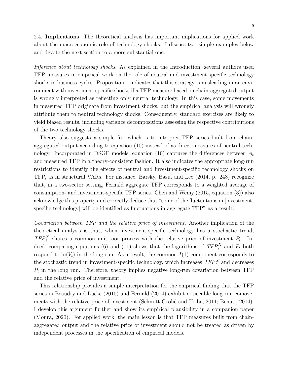2.4. Implications. The theoretical analysis has important implications for applied work about the macroeconomic role of technology shocks. I discuss two simple examples below and devote the next section to a more substantial one.

Inference about technology shocks. As explained in the Introduction, several authors used TFP measures in empirical work on the role of neutral and investment-specific technology shocks in business cycles. Proposition 1 indicates that this strategy is misleading in an environment with investment-specific shocks if a TFP measure based on chain-aggregated output is wrongly interpreted as reflecting only neutral technology. In this case, some movements in measured TFP originate from investment shocks, but the empirical analysis will wrongly attribute them to neutral technology shocks. Consequently, standard exercises are likely to yield biased results, including variance decompositions assessing the respective contributions of the two technology shocks.

Theory also suggests a simple fix, which is to interpret TFP series built from chainaggregated output according to equation (10) instead of as direct measures of neutral technology. Incorporated in DSGE models, equation (10) captures the differences between  $A_t$ and measured TFP in a theory-consistent fashion. It also indicates the appropriate long-run restrictions to identify the effects of neutral and investment-specific technology shocks on TFP, as in structural VARs. For instance, Barsky, Basu, and Lee (2014, p. 248) recognize that, in a two-sector setting, Fernald aggregate TFP corresponds to a weighted average of consumption- and investment-specific TFP series. Chen and Wemy (2015, equation (3)) also acknowledge this property and correctly deduce that "some of the fluctuations in [investmentspecific technology] will be identified as fluctuations in aggregate TFP" as a result.

Covariation between TFP and the relative price of investment. Another implication of the theoretical analysis is that, when investment-specific technology has a stochastic trend,  $TFP_t^X$  shares a common unit-root process with the relative price of investment  $P_t$ . Indeed, comparing equations (6) and (11) shows that the logarithms of  $TFP_t^X$  and  $P_t$  both respond to  $\ln(V_t)$  in the long run. As a result, the common  $I(1)$  component corresponds to the stochastic trend in investment-specific technology, which increases  $TFP_t^X$  and decreases  $P_t$  in the long run. Therefore, theory implies negative long-run covariation between TFP and the relative price of investment.

This relationship provides a simple interpretation for the empirical finding that the TFP series in Beaudry and Lucke (2010) and Fernald (2014) exhibit noticeable long-run comovements with the relative price of investment (Schmitt-Grohé and Uribe, 2011; Benati, 2014). I develop this argument further and show its empirical plausibility in a companion paper (Moura, 2020). For applied work, the main lesson is that TFP measures built from chainaggregated output and the relative price of investment should not be treated as driven by independent processes in the specification of empirical models.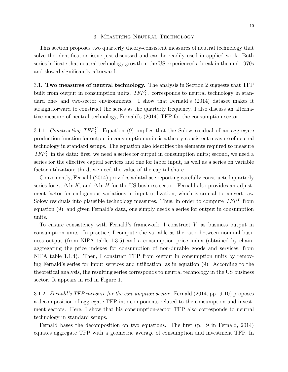## 3. Measuring Neutral Technology

This section proposes two quarterly theory-consistent measures of neutral technology that solve the identification issue just discussed and can be readily used in applied work. Both series indicate that neutral technology growth in the US experienced a break in the mid-1970s and slowed significantly afterward.

3.1. Two measures of neutral technology. The analysis in Section 2 suggests that TFP built from output in consumption units,  $TFP_t^Y$ , corresponds to neutral technology in standard one- and two-sector environments. I show that Fernald's (2014) dataset makes it straightforward to construct the series as the quarterly frequency. I also discuss an alternative measure of neutral technology, Fernald's (2014) TFP for the consumption sector.

3.1.1. Constructing  $TFP_t^Y$ . Equation (9) implies that the Solow residual of an aggregate production function for output in consumption units is a theory-consistent measure of neutral technology in standard setups. The equation also identifies the elements required to measure  $TFP_t^Y$  in the data: first, we need a series for output in consumption units; second, we need a series for the effective capital services and one for labor input, as well as a series on variable factor utilization; third, we need the value of the capital share.

Conveniently, Fernald (2014) provides a database reporting carefully constructed quarterly series for  $\alpha$ ,  $\Delta \ln K$ , and  $\Delta \ln H$  for the US business sector. Fernald also provides an adjustment factor for endogenous variations in input utilization, which is crucial to convert raw Solow residuals into plausible technology measures. Thus, in order to compute  $TFP_t^Y$  from equation (9), and given Fernald's data, one simply needs a series for output in consumption units.

To ensure consistency with Fernald's framework, I construct  $Y_t$  as business output in consumption units. In practice, I compute the variable as the ratio between nominal business output (from NIPA table 1.3.5) and a consumption price index (obtained by chainaggregating the price indexes for consumption of non-durable goods and services, from NIPA table 1.1.4). Then, I construct TFP from output in consumption units by removing Fernald's series for input services and utilization, as in equation (9). According to the theoretical analysis, the resulting series corresponds to neutral technology in the US business sector. It appears in red in Figure 1.

3.1.2. Fernald's TFP measure for the consumption sector. Fernald (2014, pp. 9-10) proposes a decomposition of aggregate TFP into components related to the consumption and investment sectors. Here, I show that his consumption-sector TFP also corresponds to neutral technology in standard setups.

Fernald bases the decomposition on two equations. The first (p. 9 in Fernald, 2014) equates aggregate TFP with a geometric average of consumption and investment TFP. In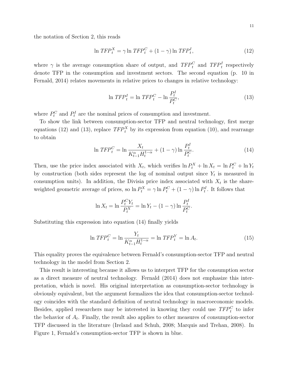the notation of Section 2, this reads

$$
\ln TFP_t^X = \gamma \ln TFP_t^C + (1 - \gamma) \ln TFP_t^I,\tag{12}
$$

where  $\gamma$  is the average consumption share of output, and  $TFP_t^C$  and  $TFP_t^I$  respectively denote TFP in the consumption and investment sectors. The second equation (p. 10 in Fernald, 2014) relates movements in relative prices to changes in relative technology:

$$
\ln TFP_t^I = \ln TFP_t^C - \ln \frac{P_t^I}{P_t^C},\tag{13}
$$

where  $P_t^C$  and  $P_t^I$  are the nominal prices of consumption and investment.

To show the link between consumption-sector TFP and neutral technology, first merge equations (12) and (13), replace  $TFP_t^X$  by its expression from equation (10), and rearrange to obtain

$$
\ln TFP_t^C = \ln \frac{X_t}{K_{t-1}^{\alpha} H_t^{1-\alpha}} + (1 - \gamma) \ln \frac{P_t^I}{P_t^C}.
$$
\n(14)

Then, use the price index associated with  $X_t$ , which verifies  $\ln P_t^X + \ln X_t = \ln P_t^C + \ln Y_t$ by construction (both sides represent the log of nominal output since  $Y_t$  is measured in consumption units). In addition, the Divisia price index associated with  $X_t$  is the shareweighted geometric average of prices, so  $\ln P_t^X = \gamma \ln P_t^C + (1 - \gamma) \ln P_t^I$ . It follows that

$$
\ln X_t = \ln \frac{P_t^C Y_t}{P_t^X} = \ln Y_t - (1 - \gamma) \ln \frac{P_t^I}{P_t^C}.
$$

Substituting this expression into equation (14) finally yields

$$
\ln TFP_t^C = \ln \frac{Y_t}{K_{t-1}^{\alpha} H_t^{1-\alpha}} = \ln TFP_t^Y = \ln A_t.
$$
\n(15)

This equality proves the equivalence between Fernald's consumption-sector TFP and neutral technology in the model from Section 2.

This result is interesting because it allows us to interpret TFP for the consumption sector as a direct measure of neutral technology. Fernald (2014) does not emphasize this interpretation, which is novel. His original interpretation as consumption-sector technology is obviously equivalent, but the argument formalizes the idea that consumption-sector technology coincides with the standard definition of neutral technology in macroeconomic models. Besides, applied researchers may be interested in knowing they could use  $TFP_t^C$  to infer the behavior of  $A_t$ . Finally, the result also applies to other measures of consumption-sector TFP discussed in the literature (Ireland and Schuh, 2008; Marquis and Trehan, 2008). In Figure 1, Fernald's consumption-sector TFP is shown in blue.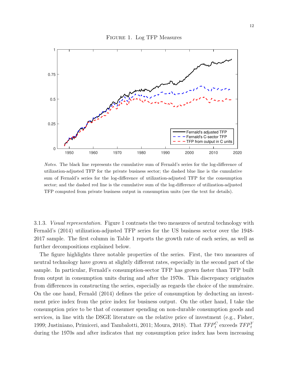



Notes. The black line represents the cumulative sum of Fernald's series for the log-difference of utilization-adjusted TFP for the private business sector; the dashed blue line is the cumulative sum of Fernald's series for the log-difference of utilization-adjusted TFP for the consumption sector; and the dashed red line is the cumulative sum of the log-difference of utilization-adjusted TFP computed from private business output in consumption units (see the text for details).

3.1.3. Visual representation. Figure 1 contrasts the two measures of neutral technology with Fernald's (2014) utilization-adjusted TFP series for the US business sector over the 1948- 2017 sample. The first column in Table 1 reports the growth rate of each series, as well as further decompositions explained below.

The figure highlights three notable properties of the series. First, the two measures of neutral technology have grown at slightly different rates, especially in the second part of the sample. In particular, Fernald's consumption-sector TFP has grown faster than TFP built from output in consumption units during and after the 1970s. This discrepancy originates from differences in constructing the series, especially as regards the choice of the numéraire. On the one hand, Fernald (2014) defines the price of consumption by deducting an investment price index from the price index for business output. On the other hand, I take the consumption price to be that of consumer spending on non-durable consumption goods and services, in line with the DSGE literature on the relative price of investment (e.g., Fisher, 1999; Justiniano, Primiceri, and Tambalotti, 2011; Moura, 2018). That  $TFP_t^C$  exceeds  $TFP_t^Y$ during the 1970s and after indicates that my consumption price index has been increasing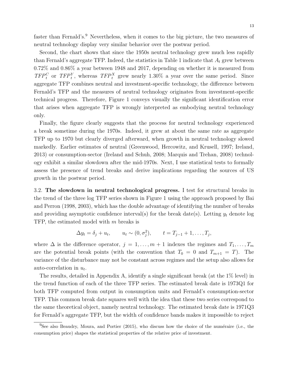faster than Fernald's.<sup>9</sup> Nevertheless, when it comes to the big picture, the two measures of neutral technology display very similar behavior over the postwar period.

Second, the chart shows that since the 1950s neutral technology grew much less rapidly than Fernald's aggregate TFP. Indeed, the statistics in Table 1 indicate that  $A_t$  grew between 0.72% and 0.86% a year between 1948 and 2017, depending on whether it is measured from  $TFP_t^C$  or  $TFP_t^Y$ , whereas  $TFP_t^X$  grew nearly 1.30% a year over the same period. Since aggregate TFP combines neutral and investment-specific technology, the difference between Fernald's TFP and the measures of neutral technology originates from investment-specific technical progress. Therefore, Figure 1 conveys visually the significant identification error that arises when aggregate TFP is wrongly interpreted as embodying neutral technology only.

Finally, the figure clearly suggests that the process for neutral technology experienced a break sometime during the 1970s. Indeed, it grew at about the same rate as aggregate TFP up to 1970 but clearly diverged afterward, when growth in neutral technology slowed markedly. Earlier estimates of neutral (Greenwood, Hercowitz, and Krusell, 1997; Ireland, 2013) or consumption-sector (Ireland and Schuh, 2008; Marquis and Trehan, 2008) technology exhibit a similar slowdown after the mid-1970s. Next, I use statistical tests to formally assess the presence of trend breaks and derive implications regarding the sources of US growth in the postwar period.

3.2. The slowdown in neutral technological progress. I test for structural breaks in the trend of the three log TFP series shown in Figure 1 using the approach proposed by Bai and Perron (1998, 2003), which has the double advantage of identifying the number of breaks and providing asymptotic confidence interval(s) for the break date(s). Letting  $y_t$  denote log TFP, the estimated model with m breaks is

$$
\Delta y_t = \delta_j + u_t, \qquad u_t \sim (0, \sigma_j^2), \qquad t = T_{j-1} + 1, \ldots, T_j,
$$

where  $\Delta$  is the difference operator,  $j = 1, \ldots, m + 1$  indexes the regimes and  $T_1, \ldots, T_m$ are the potential break points (with the convention that  $T_0 = 0$  and  $T_{m+1} = T$ ). The variance of the disturbance may not be constant across regimes and the setup also allows for auto-correlation in  $u_t$ .

The results, detailed in Appendix A, identify a single significant break (at the 1% level) in the trend function of each of the three TFP series. The estimated break date is 1973Q1 for both TFP computed from output in consumption units and Fernald's consumption-sector TFP. This common break date squares well with the idea that these two series correspond to the same theoretical object, namely neutral technology. The estimated break date is 1971Q3 for Fernald's aggregate TFP, but the width of confidence bands makes it impossible to reject

 $<sup>9</sup>$ See also Beaudry, Moura, and Portier (2015), who discuss how the choice of the numéraire (i.e., the</sup> consumption price) shapes the statistical properties of the relative price of investment.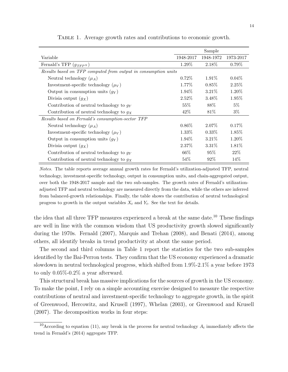|                                                                | Sample    |           |           |  |
|----------------------------------------------------------------|-----------|-----------|-----------|--|
| Variable                                                       | 1948-2017 | 1948-1972 | 1973-2017 |  |
| Fernald's TFP $(g_{TFP}x)$                                     | 1.29%     | 2.18%     | $0.79\%$  |  |
| Results based on TFP computed from output in consumption units |           |           |           |  |
| Neutral technology $(\mu_A)$                                   | $0.72\%$  | $1.91\%$  | $0.04\%$  |  |
| Investment-specific technology $(\mu_V)$                       | 1.77%     | $0.85\%$  | 2.25%     |  |
| Output in consumption units $(q_Y)$                            | $1.94\%$  | $3.21\%$  | 1.20\%    |  |
| Divisia output $(g_X)$                                         | $2.52\%$  | 3.48\%    | 1.95%     |  |
| Contribution of neutral technology to $g_Y$                    | 55%       | 88%       | $5\%$     |  |
| Contribution of neutral technology to $g_X$                    | 42\%      | 81\%      | $3\%$     |  |
| Results based on Fernald's consumption-sector TFP              |           |           |           |  |
| Neutral technology $(\mu_A)$                                   | $0.86\%$  | 2.07\%    | $0.17\%$  |  |
| Investment-specific technology $(\mu_V)$                       | 1.33\%    | $0.33\%$  | 1.85\%    |  |
| Output in consumption units $(q_Y)$                            | 1.94%     | $3.21\%$  | 1.20%     |  |
| Divisia output $(g_X)$                                         | 2.37%     | $3.31\%$  | 1.81%     |  |
| Contribution of neutral technology to $g_Y$                    | $66\%$    | $95\%$    | 22%       |  |
| Contribution of neutral technology to $g_X$                    | 54\%      | 92\%      | 14\%      |  |

Table 1. Average growth rates and contributions to economic growth.

Notes. The table reports average annual growth rates for Fernald's utilization-adjusted TFP, neutral technology, investment-specific technology, output in consumption units, and chain-aggregated output, over both the 1948-2017 sample and the two sub-samples. The growth rates of Fernald's utilizationadjusted TFP and neutral technology are measured directly from the data, while the others are inferred from balanced-growth relationships. Finally, the table shows the contribution of neutral technological progress to growth in the output variables  $X_t$  and  $Y_t$ . See the text for details.

the idea that all three TFP measures experienced a break at the same date.<sup>10</sup> These findings are well in line with the common wisdom that US productivity growth slowed significantly during the 1970s. Fernald (2007), Marquis and Trehan (2008), and Benati (2014), among others, all identify breaks in trend productivity at about the same period.

The second and third columns in Table 1 report the statistics for the two sub-samples identified by the Bai-Perron tests. They confirm that the US economy experienced a dramatic slowdown in neutral technological progress, which shifted from 1.9%-2.1% a year before 1973 to only 0.05%-0.2% a year afterward.

This structural break has massive implications for the sources of growth in the US economy. To make the point, I rely on a simple accounting exercise designed to measure the respective contributions of neutral and investment-specific technology to aggregate growth, in the spirit of Greenwood, Hercowitz, and Krusell (1997), Whelan (2003), or Greenwood and Krusell (2007). The decomposition works in four steps:

<sup>&</sup>lt;sup>10</sup>According to equation (11), any break in the process for neutral technology  $A_t$  immediately affects the trend in Fernald's (2014) aggregate TFP.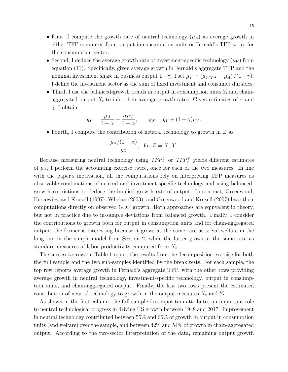- First, I compute the growth rate of neutral technology  $(\mu_A)$  as average growth in either TFP computed from output in consumption units or Fernald's TFP series for the consumption sector.
- Second, I deduce the average growth rate of investment-specific technology  $(\mu_V)$  from equation (11). Specifically, given average growth in Fernald's aggregate TFP and the nominal investment share in business output  $1-\gamma$ , I set  $\mu_V = (g_{TFP}x - \mu_A)/(1-\gamma)$ . I define the investment sector as the sum of fixed investment and consumer durables.
- Third, I use the balanced-growth trends in output in consumption units  $Y_t$  and chainaggregated output  $X_t$  to infer their average growth rates. Given estimates of  $\alpha$  and  $\gamma$ , I obtain

$$
g_Y = \frac{\mu_A}{1 - \alpha} + \frac{\alpha \mu_V}{1 - \alpha}, \qquad g_X = g_Y + (1 - \gamma)\mu_V.
$$

• Fourth, I compute the contribution of neutral technology to growth in  $Z$  as

$$
\frac{\mu_A/(1-\alpha)}{g_Z}, \text{ for } Z = X, Y.
$$

Because measuring neutral technology using  $TFP_t^C$  or  $TFP_t^Y$  yields different estimates of  $\mu_A$ , I perform the accounting exercise twice, once for each of the two measures. In line with the paper's motivation, all the computations rely on interpreting TFP measures as observable combinations of neutral and investment-specific technology and using balancedgrowth restrictions to deduce the implied growth rate of output. In contrast, Greenwood, Hercowitz, and Krusell (1997), Whelan (2003), and Greenwood and Krusell (2007) base their computations directly on observed GDP growth. Both approaches are equivalent in theory, but not in practice due to in-sample deviations from balanced growth. Finally, I consider the contributions to growth both for output in consumption units and for chain-aggregated output: the former is interesting because it grows at the same rate as social welfare in the long run in the simple model from Section 2, while the latter grows at the same rate as standard measures of labor productivity computed from  $X_t$ .

The successive rows in Table 1 report the results from the decomposition exercise for both the full sample and the two sub-samples identified by the break tests. For each sample, the top row reports average growth in Fernald's aggregate TFP, with the other rows providing average growth in neutral technology, investment-specific technology, output in consumption units, and chain-aggregated output. Finally, the last two rows present the estimated contribution of neutral technology to growth in the output measures  $X_t$  and  $Y_t$ .

As shown in the first column, the full-sample decomposition attributes an important role to neutral technological progress in driving US growth between 1948 and 2017. Improvement in neutral technology contributed between 55% and 66% of growth in output in consumption units (and welfare) over the sample, and between 42% and 54% of growth in chain-aggregated output. According to the two-sector interpretation of the data, remaining output growth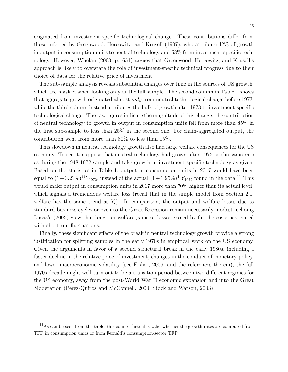originated from investment-specific technological change. These contributions differ from those inferred by Greenwood, Hercowitz, and Krusell (1997), who attribute 42% of growth in output in consumption units to neutral technology and 58% from investment-specific technology. However, Whelan (2003, p. 651) argues that Greenwood, Hercowitz, and Krusell's approach is likely to overstate the role of investment-specific technical progress due to their choice of data for the relative price of investment.

The sub-sample analysis reveals substantial changes over time in the sources of US growth, which are masked when looking only at the full sample. The second column in Table 1 shows that aggregate growth originated almost only from neutral technological change before 1973, while the third column instead attributes the bulk of growth after 1973 to investment-specific technological change. The raw figures indicate the magnitude of this change: the contribution of neutral technology to growth in output in consumption units fell from more than 85% in the first sub-sample to less than 25% in the second one. For chain-aggregated output, the contribution went from more than 80% to less than 15%.

This slowdown in neutral technology growth also had large welfare consequences for the US economy. To see it, suppose that neutral technology had grown after 1972 at the same rate as during the 1948-1972 sample and take growth in investment-specific technology as given. Based on the statistics in Table 1, output in consumption units in 2017 would have been equal to  $(1+3.21\%)^{44}Y_{1972}$ , instead of the actual  $(1+1.95\%)^{44}Y_{1972}$  found in the data.<sup>11</sup> This would make output in consumption units in 2017 more than 70% higher than its actual level, which signals a tremendous welfare loss (recall that in the simple model from Section 2.1, welfare has the same trend as  $Y_t$ ). In comparison, the output and welfare losses due to standard business cycles or even to the Great Recession remain necessarily modest, echoing Lucas's (2003) view that long-run welfare gains or losses exceed by far the costs associated with short-run fluctuations.

Finally, these significant effects of the break in neutral technology growth provide a strong justification for splitting samples in the early 1970s in empirical work on the US economy. Given the arguments in favor of a second structural break in the early 1980s, including a faster decline in the relative price of investment, changes in the conduct of monetary policy, and lower macroeconomic volatility (see Fisher, 2006, and the references therein), the full 1970s decade might well turn out to be a transition period between two different regimes for the US economy, away from the post-World War II economic expansion and into the Great Moderation (Perez-Quiros and McConnell, 2000; Stock and Watson, 2003).

<sup>&</sup>lt;sup>11</sup>As can be seen from the table, this counterfactual is valid whether the growth rates are computed from TFP in consumption units or from Fernald's consumption-sector TFP.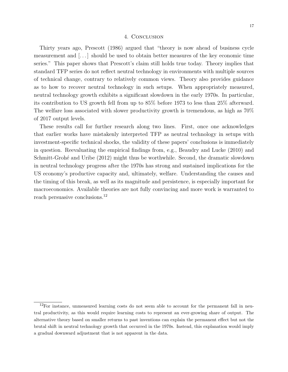#### 4. Conclusion

Thirty years ago, Prescott (1986) argued that "theory is now ahead of business cycle measurement and [. . . ] should be used to obtain better measures of the key economic time series." This paper shows that Prescott's claim still holds true today. Theory implies that standard TFP series do not reflect neutral technology in environments with multiple sources of technical change, contrary to relatively common views. Theory also provides guidance as to how to recover neutral technology in such setups. When appropriately measured, neutral technology growth exhibits a significant slowdown in the early 1970s. In particular, its contribution to US growth fell from up to 85% before 1973 to less than 25% afterward. The welfare loss associated with slower productivity growth is tremendous, as high as 70% of 2017 output levels.

These results call for further research along two lines. First, once one acknowledges that earlier works have mistakenly interpreted TFP as neutral technology in setups with investment-specific technical shocks, the validity of these papers' conclusions is immediately in question. Reevaluating the empirical findings from, e.g., Beaudry and Lucke (2010) and Schmitt-Grohé and Uribe (2012) might thus be worthwhile. Second, the dramatic slowdown in neutral technology progress after the 1970s has strong and sustained implications for the US economy's productive capacity and, ultimately, welfare. Understanding the causes and the timing of this break, as well as its magnitude and persistence, is especially important for macroeconomics. Available theories are not fully convincing and more work is warranted to reach persuasive conclusions.<sup>12</sup>

 $12$ For instance, unmeasured learning costs do not seem able to account for the permanent fall in neutral productivity, as this would require learning costs to represent an ever-growing share of output. The alternative theory based on smaller returns to past inventions can explain the permanent effect but not the brutal shift in neutral technology growth that occurred in the 1970s. Instead, this explanation would imply a gradual downward adjustment that is not apparent in the data.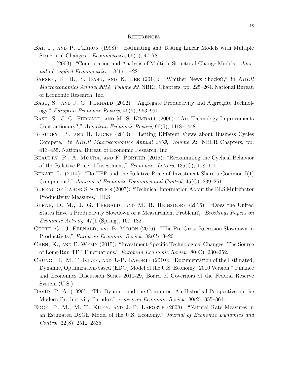#### **REFERENCES**

- Bai, J., and P. Perron (1998): "Estimating and Testing Linear Models with Multiple Structural Changes," Econometrica, 66(1), 47–78.
- (2003): "Computation and Analysis of Multiple Structural Change Models," Journal of Applied Econometrics, 18(1), 1–22.
- BARSKY, R. B., S. BASU, AND K. LEE (2014): "Whither News Shocks?," in NBER Macroeconomics Annual 2014, Volume 29, NBER Chapters, pp. 225–264. National Bureau of Economic Research, Inc.
- BASU, S., AND J. G. FERNALD (2002): "Aggregate Productivity and Aggregate Technology," European Economic Review, 46(6), 963–991.
- BASU, S., J. G. FERNALD, AND M. S. KIMBALL (2006): "Are Technology Improvements Contractionary?," American Economic Review, 96(5), 1418–1448.
- BEAUDRY, P., AND B. LUCKE (2010): "Letting Different Views about Business Cycles Compete," in NBER Macroeconomics Annual 2009, Volume 24, NBER Chapters, pp. 413–455. National Bureau of Economic Research, Inc.
- BEAUDRY, P., A. MOURA, AND F. PORTIER (2015): "Reexamining the Cyclical Behavior of the Relative Price of Investment," Economics Letters, 135(C), 108–111.
- Benati, L. (2014): "Do TFP and the Relative Price of Investment Share a Common I(1) Component?," Journal of Economic Dynamics and Control, 45(C), 239–261.
- BUREAU OF LABOR STATISTICS (2007): "Technical Information About the BLS Multifactor Productivity Measures," BLS.
- BYRNE, D. M., J. G. FERNALD, AND M. B. REINSDORF (2016): "Does the United States Have a Productivity Slowdown or a Measurement Problem?," Brookings Papers on Economic Activity, 47(1 (Spring), 109–182.
- CETTE, G., J. FERNALD, AND B. MOJON (2016): "The Pre-Great Recession Slowdown in Productivity," European Economic Review, 88(C), 3–20.
- Chen, K., and E. Wemy (2015): "Investment-Specific Technological Changes: The Source of Long-Run TFP Fluctuations," European Economic Review, 80(C), 230–252.
- Chung, H., M. T. Kiley, and J.-P. Laforte (2010): "Documentation of the Estimated, Dynamic, Optimization-based (EDO) Model of the U.S. Economy: 2010 Version," Finance and Economics Discussion Series 2010-29, Board of Governors of the Federal Reserve System (U.S.).
- DAVID, P. A. (1990): "The Dynamo and the Computer: An Historical Perspective on the Modern Productivity Paradox," American Economic Review, 80(2), 355–361.
- Edge, R. M., M. T. Kiley, and J.-P. Laforte (2008): "Natural Rate Measures in an Estimated DSGE Model of the U.S. Economy," Journal of Economic Dynamics and Control, 32(8), 2512–2535.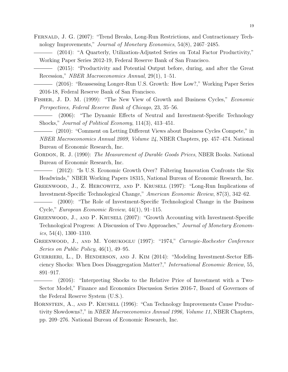- Fernald, J. G. (2007): "Trend Breaks, Long-Run Restrictions, and Contractionary Technology Improvements," Journal of Monetary Economics, 54(8), 2467–2485.
	- (2014): "A Quarterly, Utilization-Adjusted Series on Total Factor Productivity," Working Paper Series 2012-19, Federal Reserve Bank of San Francisco.
	- (2015): "Productivity and Potential Output before, during, and after the Great Recession," NBER Macroeconomics Annual, 29(1), 1–51.
- (2016): "Reassessing Longer-Run U.S. Growth: How Low?," Working Paper Series 2016-18, Federal Reserve Bank of San Francisco.
- Fisher, J. D. M. (1999): "The New View of Growth and Business Cycles," Economic Perspectives, Federal Reserve Bank of Chicago, 23, 35–56.
- (2006): "The Dynamic Effects of Neutral and Investment-Specific Technology Shocks," Journal of Political Economy, 114(3), 413–451.
- (2010): "Comment on Letting Different Views about Business Cycles Compete," in NBER Macroeconomics Annual 2009, Volume 24, NBER Chapters, pp. 457–474. National Bureau of Economic Research, Inc.
- GORDON, R. J. (1990): The Measurement of Durable Goods Prices, NBER Books. National Bureau of Economic Research, Inc.
- (2012): "Is U.S. Economic Growth Over? Faltering Innovation Confronts the Six Headwinds," NBER Working Papers 18315, National Bureau of Economic Research, Inc.
- Greenwood, J., Z. Hercowitz, and P. Krusell (1997): "Long-Run Implications of Investment-Specific Technological Change," American Economic Review, 87(3), 342–62.
- (2000): "The Role of Investment-Specific Technological Change in the Business Cycle," European Economic Review, 44(1), 91–115.
- GREENWOOD, J., AND P. KRUSELL (2007): "Growth Accounting with Investment-Specific Technological Progress: A Discussion of Two Approaches," Journal of Monetary Economics, 54(4), 1300–1310.
- GREENWOOD, J., AND M. YORUKOGLU (1997): "1974," Carnegie-Rochester Conference Series on Public Policy, 46(1), 49–95.
- Guerrieri, L., D. Henderson, and J. Kim (2014): "Modeling Investment-Sector Efficiency Shocks: When Does Disaggregation Matter?," International Economic Review, 55, 891–917.
- (2016): "Interpreting Shocks to the Relative Price of Investment with a Two-Sector Model," Finance and Economics Discussion Series 2016-7, Board of Governors of the Federal Reserve System (U.S.).
- Hornstein, A., and P. Krusell (1996): "Can Technology Improvements Cause Productivity Slowdowns?," in NBER Macroeconomics Annual 1996, Volume 11, NBER Chapters, pp. 209–276. National Bureau of Economic Research, Inc.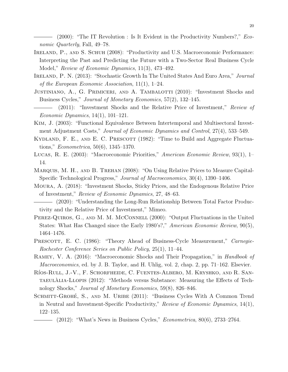(2000): "The IT Revolution : Is It Evident in the Productivity Numbers?," Economic Quarterly, Fall, 49–78.

- Ireland, P., and S. Schuh (2008): "Productivity and U.S. Macroeconomic Performance: Interpreting the Past and Predicting the Future with a Two-Sector Real Business Cycle Model," Review of Economic Dynamics, 11(3), 473–492.
- IRELAND, P. N. (2013): "Stochastic Growth In The United States And Euro Area," Journal of the European Economic Association, 11(1), 1–24.
- JUSTINIANO, A., G. PRIMICERI, AND A. TAMBALOTTI (2010): "Investment Shocks and Business Cycles," Journal of Monetary Economics, 57(2), 132–145.
- (2011): "Investment Shocks and the Relative Price of Investment," Review of Economic Dynamics, 14(1), 101–121.
- Kim, J. (2003): "Functional Equivalence Between Intertemporal and Multisectoral Investment Adjustment Costs," Journal of Economic Dynamics and Control, 27(4), 533–549.
- KYDLAND, F. E., AND E. C. PRESCOTT (1982): "Time to Build and Aggregate Fluctuations," Econometrica, 50(6), 1345–1370.
- Lucas, R. E. (2003): "Macroeconomic Priorities," American Economic Review, 93(1), 1– 14.
- Marquis, M. H., and B. Trehan (2008): "On Using Relative Prices to Measure Capital-Specific Technological Progress," Journal of Macroeconomics, 30(4), 1390–1406.
- Moura, A. (2018): "Investment Shocks, Sticky Prices, and the Endogenous Relative Price of Investment," Review of Economic Dynamics, 27, 48–63.

- PEREZ-QUIROS, G., AND M. M. MCCONNELL (2000): "Output Fluctuations in the United States: What Has Changed since the Early 1980's?," American Economic Review, 90(5), 1464–1476.
- PRESCOTT, E. C. (1986): "Theory Ahead of Business-Cycle Measurement," Carnegie-Rochester Conference Series on Public Policy, 25(1), 11–44.
- Ramey, V. A. (2016): "Macroeconomic Shocks and Their Propagation," in Handbook of Macroeconomics, ed. by J. B. Taylor, and H. Uhlig, vol. 2, chap. 2, pp. 71–162. Elsevier.
- RÍOS-RULL, J.-V., F. SCHORFHEIDE, C. FUENTES-ALBERO, M. KRYSHKO, AND R. SANtaeulalia-Llopis ` (2012): "Methods versus Substance: Measuring the Effects of Technology Shocks," Journal of Monetary Economics, 59(8), 826–846.
- SCHMITT-GROHÉ, S., AND M. URIBE (2011): "Business Cycles With A Common Trend in Neutral and Investment-Specific Productivity," Review of Economic Dynamics, 14(1), 122–135.

<sup>(2020): &</sup>quot;Understanding the Long-Run Relationship Between Total Factor Productivity and the Relative Price of Investment," Mimeo.

 $-$  (2012): "What's News in Business Cycles," *Econometrica*, 80(6), 2733–2764.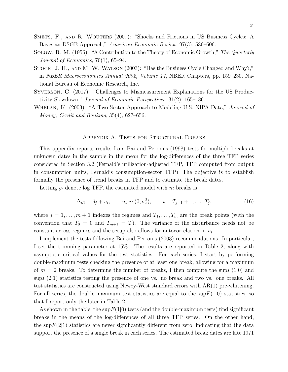- Smets, F., and R. Wouters (2007): "Shocks and Frictions in US Business Cycles: A Bayesian DSGE Approach," American Economic Review, 97(3), 586–606.
- Solow, R. M. (1956): "A Contribution to the Theory of Economic Growth," The Quarterly Journal of Economics, 70(1), 65–94.
- STOCK, J. H., AND M. W. WATSON (2003): "Has the Business Cycle Changed and Why?," in NBER Macroeconomics Annual 2002, Volume 17, NBER Chapters, pp. 159–230. National Bureau of Economic Research, Inc.
- Syverson, C. (2017): "Challenges to Mismeasurement Explanations for the US Productivity Slowdown," Journal of Economic Perspectives, 31(2), 165–186.
- WHELAN, K. (2003): "A Two-Sector Approach to Modeling U.S. NIPA Data," *Journal of* Money, Credit and Banking, 35(4), 627–656.

#### Appendix A. Tests for Structural Breaks

This appendix reports results from Bai and Perron's (1998) tests for multiple breaks at unknown dates in the sample in the mean for the log-differences of the three TFP series considered in Section 3.2 (Fernald's utilization-adjusted TFP, TFP computed from output in consumption units, Fernald's consumption-sector TFP). The objective is to establish formally the presence of trend breaks in TFP and to estimate the break dates.

Letting  $y_t$  denote log TFP, the estimated model with m breaks is

$$
\Delta y_t = \delta_j + u_t, \qquad u_t \sim (0, \sigma_j^2), \qquad t = T_{j-1} + 1, \dots, T_j,
$$
\n(16)

where  $j = 1, \ldots, m + 1$  indexes the regimes and  $T_1, \ldots, T_m$  are the break points (with the convention that  $T_0 = 0$  and  $T_{m+1} = T$ . The variance of the disturbance needs not be constant across regimes and the setup also allows for autocorrelation in  $u_t$ .

I implement the tests following Bai and Perron's (2003) recommendations. In particular, I set the trimming parameter at 15%. The results are reported in Table 2, along with asymptotic critical values for the test statistics. For each series, I start by performing double-maximum tests checking the presence of at least one break, allowing for a maximum of  $m = 2$  breaks. To determine the number of breaks, I then compute the sup  $F(1|0)$  and  $\sup F(2|1)$  statistics testing the presence of one vs. no break and two vs. one breaks. All test statistics are constructed using Newey-West standard errors with AR(1) pre-whitening. For all series, the double-maximum test statistics are equal to the  $\sup F(1|0)$  statistics, so that I report only the later in Table 2.

As shown in the table, the sup  $F(1|0)$  tests (and the double-maximum tests) find significant breaks in the means of the log-differences of all three TFP series. On the other hand, the sup $F(2|1)$  statistics are never significantly different from zero, indicating that the data support the presence of a single break in each series. The estimated break dates are late 1971